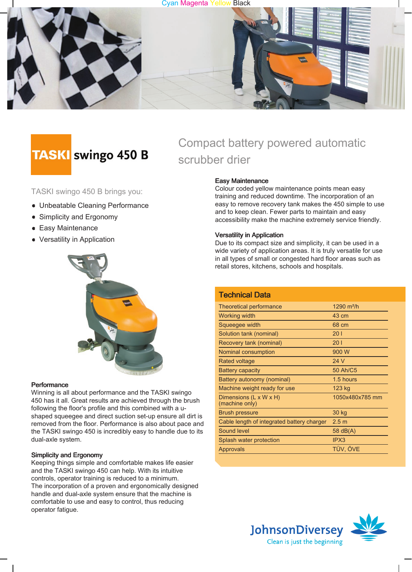



# **TASKI** swingo 450 B

TASKI swingo 450 B brings you:

- Unbeatable Cleaning Performance
- Simplicity and Ergonomy
- **Easy Maintenance**
- Versatility in Application



#### **Performance**

Winning is all about performance and the TASKI swingo 450 has it all. Great results are achieved through the brush following the floor's profile and this combined with a ushaped squeegee and direct suction set-up ensure all dirt is removed from the floor. Performance is also about pace and the TASKI swingo 450 is incredibly easy to handle due to its dual-axle system.

#### Simplicity and Ergonomy

Keeping things simple and comfortable makes life easier and the TASKI swingo 450 can help. With its intuitive controls, operator training is reduced to a minimum. The incorporation of a proven and ergonomically designed handle and dual-axle system ensure that the machine is comfortable to use and easy to control, thus reducing operator fatigue.

# Compact battery powered automatic scrubber drier

#### Easy Maintenance

Colour coded yellow maintenance points mean easy training and reduced downtime. The incorporation of an easy to remove recovery tank makes the 450 simple to use and to keep clean. Fewer parts to maintain and easy accessibility make the machine extremely service friendly.

#### Versatility in Application

Due to its compact size and simplicity, it can be used in a wide variety of application areas. It is truly versatile for use in all types of small or congested hard floor areas such as retail stores, kitchens, schools and hospitals.

| <b>Technical Data</b>                      |                  |
|--------------------------------------------|------------------|
| Theoretical performance                    | 1290 $m^2/h$     |
| Working width                              | 43 cm            |
| Squeegee width                             | 68 cm            |
| Solution tank (nominal)                    | 201              |
| Recovery tank (nominal)                    | 201              |
| Nominal consumption                        | 900 W            |
| Rated voltage                              | 24 V             |
| <b>Battery capacity</b>                    | 50 Ah/C5         |
| Battery autonomy (nominal)                 | 1.5 hours        |
| Machine weight ready for use               | 123 kg           |
| Dimensions (L x W x H)<br>(machine only)   | 1050x480x785 mm  |
| <b>Brush pressure</b>                      | 30 kg            |
| Cable length of integrated battery charger | 2.5 <sub>m</sub> |
| Sound level                                | 58 $dB(A)$       |
| Splash water protection                    | IPX3             |
| Approvals                                  | TÜV, ÖVE         |